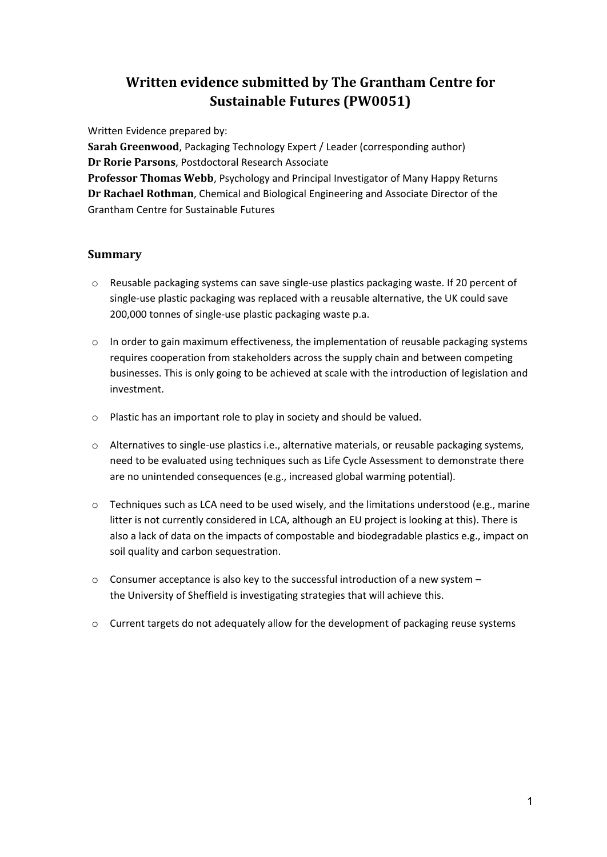# **Written evidence submitted by The Grantham Centre for Sustainable Futures (PW0051)**

Written Evidence prepared by:

**Sarah Greenwood**, Packaging Technology Expert / Leader (corresponding author) **Dr Rorie Parsons**, Postdoctoral Research Associate **Professor Thomas Webb**, Psychology and Principal Investigator of Many Happy Returns **Dr Rachael Rothman**, Chemical and Biological Engineering and Associate Director of the Grantham Centre for Sustainable Futures

## **Summary**

- o Reusable packaging systems can save single-use plastics packaging waste. If 20 percent of single-use plastic packaging was replaced with a reusable alternative, the UK could save 200,000 tonnes of single-use plastic packaging waste p.a.
- o In order to gain maximum effectiveness, the implementation of reusable packaging systems requires cooperation from stakeholders across the supply chain and between competing businesses. This is only going to be achieved at scale with the introduction of legislation and investment.
- o Plastic has an important role to play in society and should be valued.
- o Alternatives to single-use plastics i.e., alternative materials, or reusable packaging systems, need to be evaluated using techniques such as Life Cycle Assessment to demonstrate there are no unintended consequences (e.g., increased global warming potential).
- $\circ$  Techniques such as LCA need to be used wisely, and the limitations understood (e.g., marine litter is not currently considered in LCA, although an EU project is looking at this). There is also a lack of data on the impacts of compostable and biodegradable plastics e.g., impact on soil quality and carbon sequestration.
- $\circ$  Consumer acceptance is also key to the successful introduction of a new system the University of Sheffield is investigating strategies that will achieve this.
- o Current targets do not adequately allow for the development of packaging reuse systems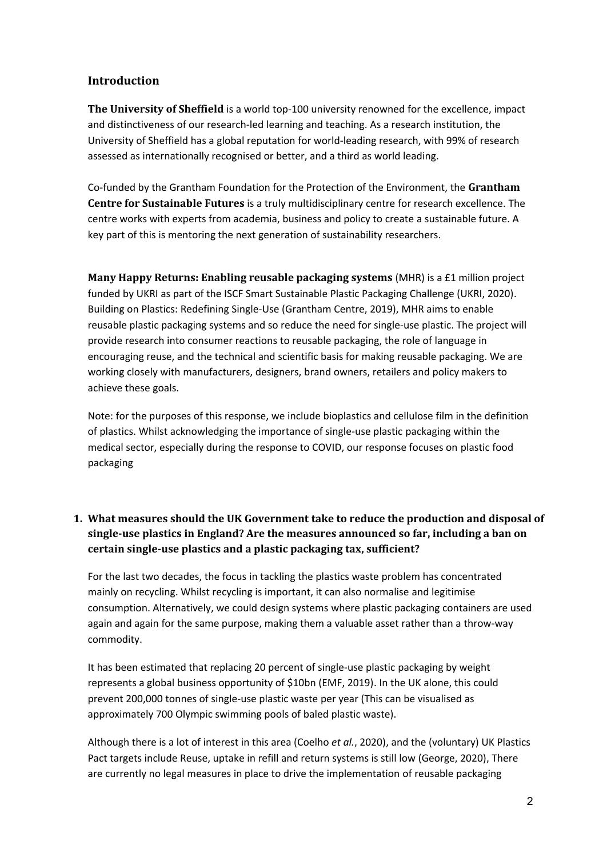## **Introduction**

**The University of Sheffield** is a world top-100 university renowned for the excellence, impact and distinctiveness of our research-led learning and teaching. As a research institution, the University of Sheffield has a global reputation for world-leading research, with 99% of research assessed as internationally recognised or better, and a third as world leading.

Co-funded by the Grantham Foundation for the Protection of the Environment, the **Grantham Centre for Sustainable Futures** is a truly multidisciplinary centre for research excellence. The centre works with experts from academia, business and policy to create a sustainable future. A key part of this is mentoring the next generation of sustainability researchers.

**Many Happy Returns: Enabling reusable packaging systems** (MHR) is a £1 million project funded by UKRI as part of [the](https://www.ukri.org/news/8-million-for-sustainable-plastics-research-projects/) [ISCF](https://www.ukri.org/news/8-million-for-sustainable-plastics-research-projects/) Smart Sustainable Plastic Packaging Challenge (UKRI, 2020). Building o[n](https://grantham.sheffield.ac.uk/research-projects/redefine-single-use-plastic/) [Plastics:](https://grantham.sheffield.ac.uk/research-projects/redefine-single-use-plastic/) [Redefining](https://grantham.sheffield.ac.uk/research-projects/redefine-single-use-plastic/) [Single-Use](https://grantham.sheffield.ac.uk/research-projects/redefine-single-use-plastic/) (Grantham Centre, 2019), MHR aims to enable reusable plastic packaging systems and so reduce the need for single-use plastic. The project will provide research into consumer reactions to reusable packaging, the role of language in encouraging reuse, and the technical and scientific basis for making reusable packaging. We are working closely with manufacturers, designers, brand owners, retailers and policy makers to achieve these goals.

Note: for the purposes of this response, we include bioplastics and cellulose film in the definition of plastics. Whilst acknowledging the importance of single-use plastic packaging within the medical sector, especially during the response to COVID, our response focuses on plastic food packaging

## **1. What measures should the UK Government take to reduce the production and disposal of single-use plastics in England? Are the measures announced so far, including a ban on certain single-use plastics and a plastic packaging tax, sufficient?**

For the last two decades, the focus in tackling the plastics waste problem has concentrated mainly on recycling. Whilst recycling is important, it can also normalise and legitimise consumption. Alternatively, we could design systems where plastic packaging containers are used again and again for the same purpose, making them a valuable asset rather than a throw-way commodity.

It has been estimated that replacing 20 percent of single-use plastic packaging by weight represents a global business opportunity of \$10bn (EMF, 2019). In the UK alone, this could prevent 200,000 tonnes of single-use plastic waste per year (This can be visualised as approximately 700 Olympic swimming pools of baled plastic waste).

Although there is a lot of interest in this area (Coelho *et al.*, 2020), and the (voluntary) UK Plastics Pact targets include Reuse, uptake in refill and return systems is still low (George, 2020), There are currently no legal measures in place to drive the implementation of reusable packaging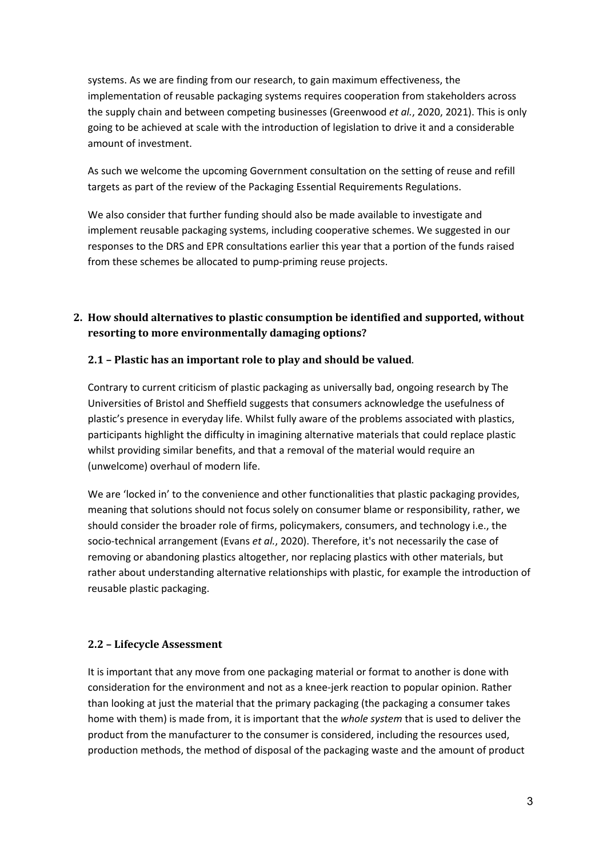systems. As we are finding from our research, to gain maximum effectiveness, the implementation of reusable packaging systems requires cooperation from stakeholders across the supply chain and between competing businesses (Greenwood *et al.*, 2020, 2021). This is only going to be achieved at scale with the introduction of legislation to drive it and a considerable amount of investment.

As such we welcome the upcoming Government consultation on the setting of reuse and refill targets as part of the review of the Packaging Essential Requirements Regulations.

We also consider that further funding should also be made available to investigate and implement reusable packaging systems, including cooperative schemes. We suggested in our responses to the DRS and EPR consultations earlier this year that a portion of the funds raised from these schemes be allocated to pump-priming reuse projects.

# **2. How should alternatives to plastic consumption be identified and supported, without resorting to more environmentally damaging options?**

## **2.1 – Plastic has an important role to play and should be valued**.

Contrary to current criticism of plastic packaging as universally bad, ongoing research by The Universities of Bristol and Sheffield suggests that consumers acknowledge the usefulness of plastic's presence in everyday life. Whilst fully aware of the problems associated with plastics, participants highlight the difficulty in imagining alternative materials that could replace plastic whilst providing similar benefits, and that a removal of the material would require an (unwelcome) overhaul of modern life.

We are 'locked in' to the convenience and other functionalities that plastic packaging provides, meaning that solutions should not focus solely on consumer blame or responsibility, rather, we should consider the broader role of firms, policymakers, consumers, and technology i.e., the socio-technical arrangement (Evans *et al.*, 2020). Therefore, it's not necessarily the case of removing or abandoning plastics altogether, nor replacing plastics with other materials, but rather about understanding alternative relationships with plastic, for example the introduction of reusable plastic packaging.

### **2.2 – Lifecycle Assessment**

It is important that any move from one packaging material or format to another is done with consideration for the environment and not as a knee-jerk reaction to popular opinion. Rather than looking at just the material that the primary packaging (the packaging a consumer takes home with them) is made from, it is important that the *whole system* that is used to deliver the product from the manufacturer to the consumer is considered, including the resources used, production methods, the method of disposal of the packaging waste and the amount of product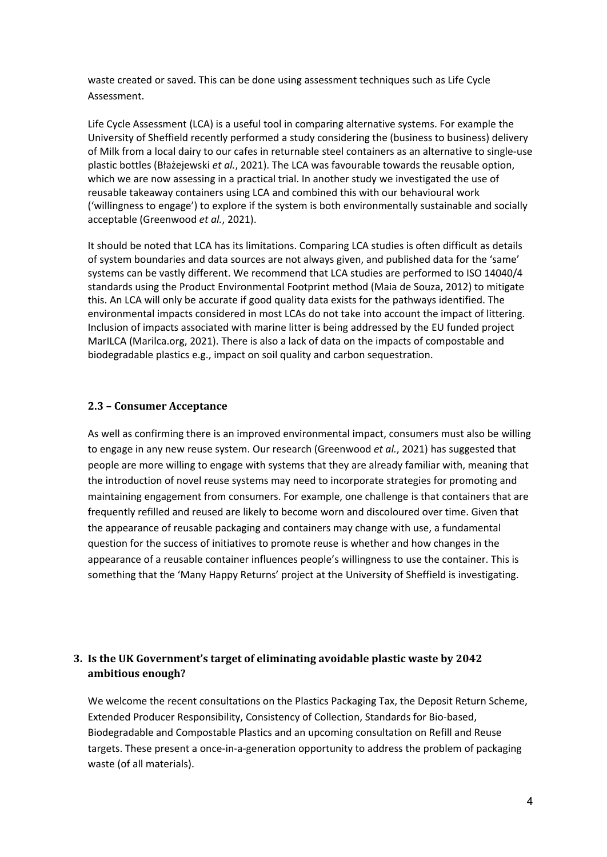waste created or saved. This can be done using assessment techniques such as Life Cycle Assessment.

Life Cycle Assessment (LCA) is a useful tool in comparing alternative systems. For example the University of Sheffield recently performed a study considering the (business to business) delivery of Milk from a local dairy to our cafes in returnable steel containers as an alternative to single-use plastic bottles (Błażejewski *et al.*, 2021). The LCA was favourable towards the reusable option, which we are now assessing in a practical trial. In another study we investigated the use of reusable takeaway containers using LCA and combined this with our behavioural work ('willingness to engage') to explore if the system is both environmentally sustainable and socially acceptable (Greenwood *et al.*, 2021).

It should be noted that LCA has its limitations. Comparing LCA studies is often difficult as details of system boundaries and data sources are not always given, and published data for the 'same' systems can be vastly different. We recommend that LCA studies are performed to ISO 14040/4 standards using the Product Environmental Footprint method (Maia de Souza, 2012) to mitigate this. An LCA will only be accurate if good quality data exists for the pathways identified. The environmental impacts considered in most LCAs do not take into account the impact of littering. Inclusion of impacts associated with marine litter is being addressed by the EU funded project MarILCA (Marilca.org, 2021). There is also a lack of data on the impacts of compostable and biodegradable plastics e.g., impact on soil quality and carbon sequestration.

#### **2.3 – Consumer Acceptance**

As well as confirming there is an improved environmental impact, consumers must also be willing to engage in any new reuse system. Our research (Greenwood *et al.*, 2021) has suggested that people are more willing to engage with systems that they are already familiar with, meaning that the introduction of novel reuse systems may need to incorporate strategies for promoting and maintaining engagement from consumers. For example, one challenge is that containers that are frequently refilled and reused are likely to become worn and discoloured over time. Given that the appearance of reusable packaging and containers may change with use, a fundamental question for the success of initiatives to promote reuse is whether and how changes in the appearance of a reusable container influences people's willingness to use the container. This is something that the 'Many Happy Returns' project at the University of Sheffield is investigating.

## **3. Is the UK Government's target of eliminating avoidable plastic waste by 2042 ambitious enough?**

We welcome the recent consultations on the Plastics Packaging Tax, the Deposit Return Scheme, Extended Producer Responsibility, Consistency of Collection, Standards for Bio-based, Biodegradable and Compostable Plastics and an upcoming consultation on Refill and Reuse targets. These present a once-in-a-generation opportunity to address the problem of packaging waste (of all materials).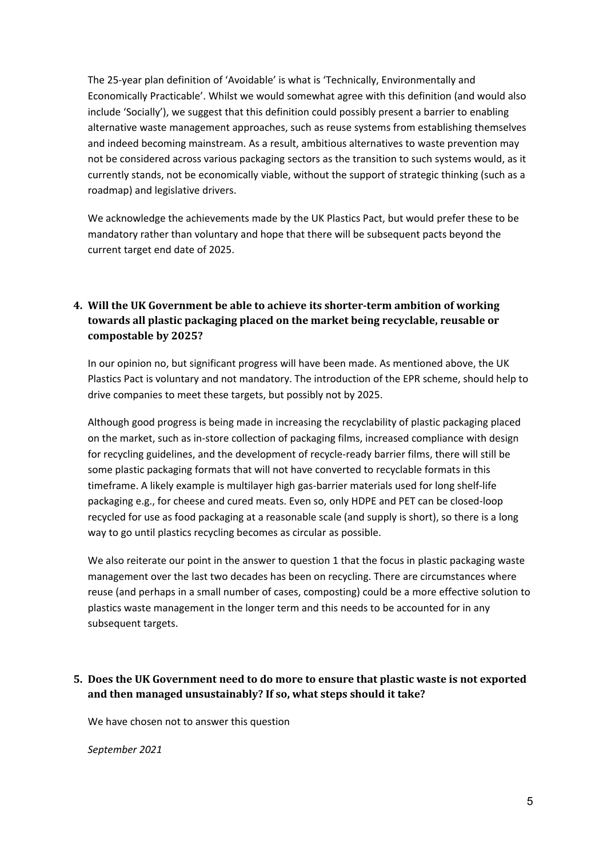The 25-year plan definition of 'Avoidable' is what is 'Technically, Environmentally and Economically Practicable'. Whilst we would somewhat agree with this definition (and would also include 'Socially'), we suggest that this definition could possibly present a barrier to enabling alternative waste management approaches, such as reuse systems from establishing themselves and indeed becoming mainstream. As a result, ambitious alternatives to waste prevention may not be considered across various packaging sectors as the transition to such systems would, as it currently stands, not be economically viable, without the support of strategic thinking (such as a roadmap) and legislative drivers.

We acknowledge the achievements made by the UK Plastics Pact, but would prefer these to be mandatory rather than voluntary and hope that there will be subsequent pacts beyond the current target end date of 2025.

# **4. Will the UK Government be able to achieve its shorter-term ambition of working towards all plastic packaging placed on the market being recyclable, reusable or compostable by 2025?**

In our opinion no, but significant progress will have been made. As mentioned above, the UK Plastics Pact is voluntary and not mandatory. The introduction of the EPR scheme, should help to drive companies to meet these targets, but possibly not by 2025.

Although good progress is being made in increasing the recyclability of plastic packaging placed on the market, such as in-store collection of packaging films, increased compliance with design for recycling guidelines, and the development of recycle-ready barrier films, there will still be some plastic packaging formats that will not have converted to recyclable formats in this timeframe. A likely example is multilayer high gas-barrier materials used for long shelf-life packaging e.g., for cheese and cured meats. Even so, only HDPE and PET can be closed-loop recycled for use as food packaging at a reasonable scale (and supply is short), so there is a long way to go until plastics recycling becomes as circular as possible.

We also reiterate our point in the answer to question 1 that the focus in plastic packaging waste management over the last two decades has been on recycling. There are circumstances where reuse (and perhaps in a small number of cases, composting) could be a more effective solution to plastics waste management in the longer term and this needs to be accounted for in any subsequent targets.

# **5. Does the UK Government need to do more to ensure that plastic waste is not exported and then managed unsustainably? If so, what steps should it take?**

We have chosen not to answer this question

*September 2021*